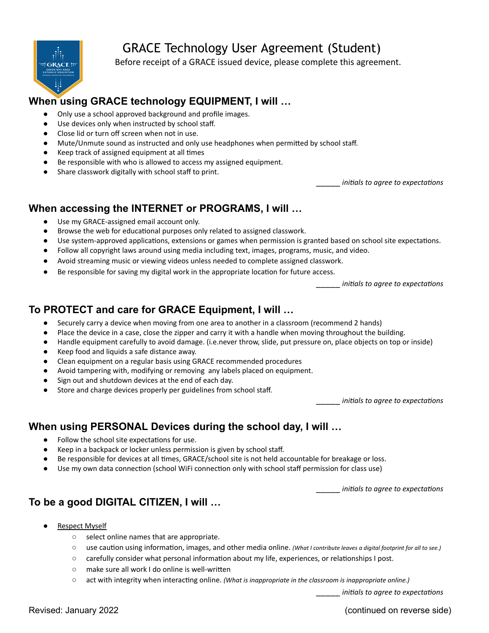

# GRACE Technology User Agreement (Student)

Before receipt of a GRACE issued device, please complete this agreement.

## **When using GRACE technology EQUIPMENT, I will …**

- Only use a school approved background and profile images.
- Use devices only when instructed by school staff.
- Close lid or turn off screen when not in use.
- Mute/Unmute sound as instructed and only use headphones when permitted by school staff.
- Keep track of assigned equipment at all times
- Be responsible with who is allowed to access my assigned equipment.
- Share classwork digitally with school staff to print.

\_\_\_\_\_ *initials to agree to expectations*

### **When accessing the INTERNET or PROGRAMS, I will …**

- Use my GRACE-assigned email account only.
- Browse the web for educational purposes only related to assigned classwork.
- Use system-approved applications, extensions or games when permission is granted based on school site expectations.
- Follow all copyright laws around using media including text, images, programs, music, and video.
- Avoid streaming music or viewing videos unless needed to complete assigned classwork.
- Be responsible for saving my digital work in the appropriate location for future access.

\_\_\_\_\_ *initials to agree to expectations*

## **To PROTECT and care for GRACE Equipment, I will …**

- Securely carry a device when moving from one area to another in a classroom (recommend 2 hands)
- Place the device in a case, close the zipper and carry it with a handle when moving throughout the building.
- Handle equipment carefully to avoid damage. (i.e.never throw, slide, put pressure on, place objects on top or inside)
- Keep food and liquids a safe distance away.
- Clean equipment on a regular basis using GRACE recommended procedures
- Avoid tampering with, modifying or removing any labels placed on equipment.
- Sign out and shutdown devices at the end of each day.
- Store and charge devices properly per guidelines from school staff.

\_\_\_\_\_ *initials to agree to expectations*

## **When using PERSONAL Devices during the school day, I will …**

- Follow the school site expectations for use.
- Keep in a backpack or locker unless permission is given by school staff.
- Be responsible for devices at all times, GRACE/school site is not held accountable for breakage or loss.
- Use my own data connection (school WiFi connection only with school staff permission for class use)

\_\_\_\_\_ *initials to agree to expectations*

## **To be a good DIGITAL CITIZEN, I will …**

- **Respect Myself** 
	- select online names that are appropriate.
	- use caution using information, images, and other media online. *(What I contribute leaves a digital footprint for all to see.)*
	- carefully consider what personal information about my life, experiences, or relationships I post.
	- make sure all work I do online is well-written
	- act with integrity when interacting online. *(What is inappropriate in the classroom is inappropriate online.)*

\_\_\_\_\_ *initials to agree to expectations*

Revised: January 2022 (continued on reverse side)